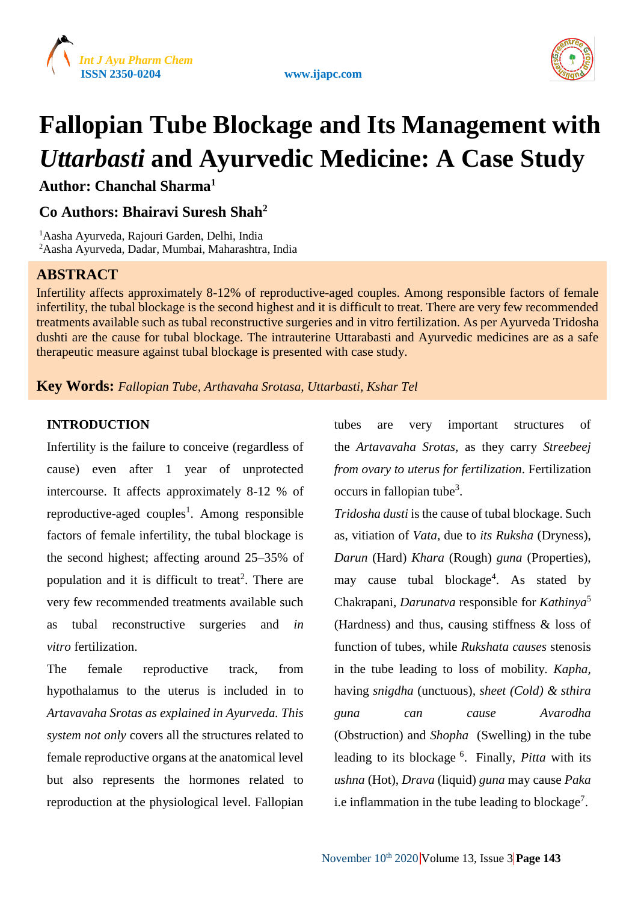





# **Fallopian Tube Blockage and Its Management with**  *Uttarbasti* **and Ayurvedic Medicine: A Case Study**

**Author: Chanchal Sharma<sup>1</sup>**

# **Co Authors: Bhairavi Suresh Shah<sup>2</sup>**

<sup>1</sup>Aasha Ayurveda, Rajouri Garden, Delhi, India <sup>2</sup>Aasha Ayurveda, Dadar, Mumbai, Maharashtra, India

# **ABSTRACT**

Infertility affects approximately 8-12% of reproductive-aged couples. Among responsible factors of female infertility, the tubal blockage is the second highest and it is difficult to treat. There are very few recommended treatments available such as tubal reconstructive surgeries and in vitro fertilization. As per Ayurveda Tridosha dushti are the cause for tubal blockage. The intrauterine Uttarabasti and Ayurvedic medicines are as a safe therapeutic measure against tubal blockage is presented with case study.

**Key Words:** *Fallopian Tube, Arthavaha Srotasa, Uttarbasti, Kshar Tel*

## **INTRODUCTION**

Infertility is the failure to conceive (regardless of cause) even after 1 year of unprotected intercourse. It affects approximately 8-12 % of reproductive-aged couples<sup>1</sup>. Among responsible factors of female infertility, the tubal blockage is the second highest; affecting around 25–35% of population and it is difficult to treat<sup>2</sup>. There are very few recommended treatments available such as tubal reconstructive surgeries and *in vitro* fertilization.

The female reproductive track, from hypothalamus to the uterus is included in to *Artavavaha Srotas as explained in Ayurveda. This system not only* covers all the structures related to female reproductive organs at the anatomical level but also represents the hormones related to reproduction at the physiological level. Fallopian

tubes are very important structures of the *Artavavaha Srotas*, as they carry *Streebeej from ovary to uterus for fertilization*. Fertilization occurs in fallopian tube<sup>3</sup>.

*Tridosha dusti* is the cause of tubal blockage. Such as, vitiation of *Vata,* due to *its Ruksha* (Dryness), *Darun* (Hard) *Khara* (Rough) *guna* (Properties), may cause tubal blockage<sup>4</sup>. As stated by Chakrapani, *Darunatva* responsible for *Kathinya*<sup>5</sup> (Hardness) and thus, causing stiffness & loss of function of tubes, while *Rukshata causes* stenosis in the tube leading to loss of mobility. *Kapha,*  having *snigdha* (unctuous)*, sheet (Cold) & sthira guna can cause Avarodha*  (Obstruction) and *Shopha* (Swelling) in the tube leading to its blockage <sup>6</sup> . Finally, *Pitta* with its *ushna* (Hot), *Drava* (liquid) *guna* may cause *Paka*  i.e inflammation in the tube leading to blockage<sup>7</sup>.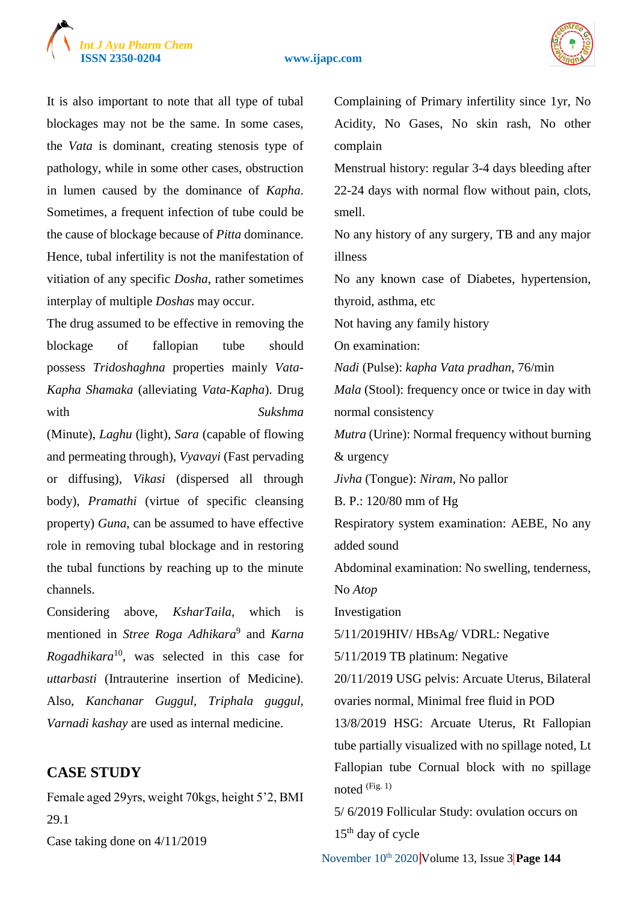



It is also important to note that all type of tubal blockages may not be the same. In some cases, the *Vata* is dominant, creating stenosis type of pathology, while in some other cases, obstruction in lumen caused by the dominance of *Kapha*. Sometimes, a frequent infection of tube could be the cause of blockage because of *Pitta* dominance. Hence, tubal infertility is not the manifestation of vitiation of any specific *Dosha*, rather sometimes interplay of multiple *Doshas* may occur.

The drug assumed to be effective in removing the blockage of fallopian tube should possess *Tridoshaghna* properties mainly *Vata-Kapha Shamaka* (alleviating *Vata-Kapha*). Drug with *Sukshma* 

(Minute), *Laghu* (light), *Sara* (capable of flowing and permeating through), *Vyavayi* (Fast pervading or diffusing), *Vikasi* (dispersed all through body), *Pramathi* (virtue of specific cleansing property) *Guna*, can be assumed to have effective role in removing tubal blockage and in restoring the tubal functions by reaching up to the minute channels.

Considering above, *KsharTaila,* which is mentioned in *Stree Roga Adhikara*<sup>9</sup> and *Karna Rogadhikara*<sup>10</sup>, was selected in this case for *uttarbasti* (Intrauterine insertion of Medicine). Also, *Kanchanar Guggul, Triphala guggul, Varnadi kashay* are used as internal medicine.

## **CASE STUDY**

Female aged 29yrs, weight 70kgs, height 5'2, BMI 29.1

Case taking done on 4/11/2019

Complaining of Primary infertility since 1yr, No Acidity, No Gases, No skin rash, No other complain Menstrual history: regular 3-4 days bleeding after 22-24 days with normal flow without pain, clots, smell. No any history of any surgery, TB and any major illness No any known case of Diabetes, hypertension, thyroid, asthma, etc Not having any family history On examination: *Nadi* (Pulse): *kapha Vata pradhan*, 76/min *Mala* (Stool): frequency once or twice in day with normal consistency *Mutra* (Urine): Normal frequency without burning & urgency *Jivha* (Tongue): *Niram*, No pallor B. P.: 120/80 mm of Hg Respiratory system examination: AEBE, No any added sound Abdominal examination: No swelling, tenderness, No *Atop* Investigation 5/11/2019HIV/ HBsAg/ VDRL: Negative 5/11/2019 TB platinum: Negative 20/11/2019 USG pelvis: Arcuate Uterus, Bilateral ovaries normal, Minimal free fluid in POD 13/8/2019 HSG: Arcuate Uterus, Rt Fallopian tube partially visualized with no spillage noted, Lt Fallopian tube Cornual block with no spillage noted (Fig. 1) 5/ 6/2019 Follicular Study: ovulation occurs on

 $15<sup>th</sup>$  day of cycle

November 10<sup>th</sup> 2020 Volume 13, Issue 3 Page 144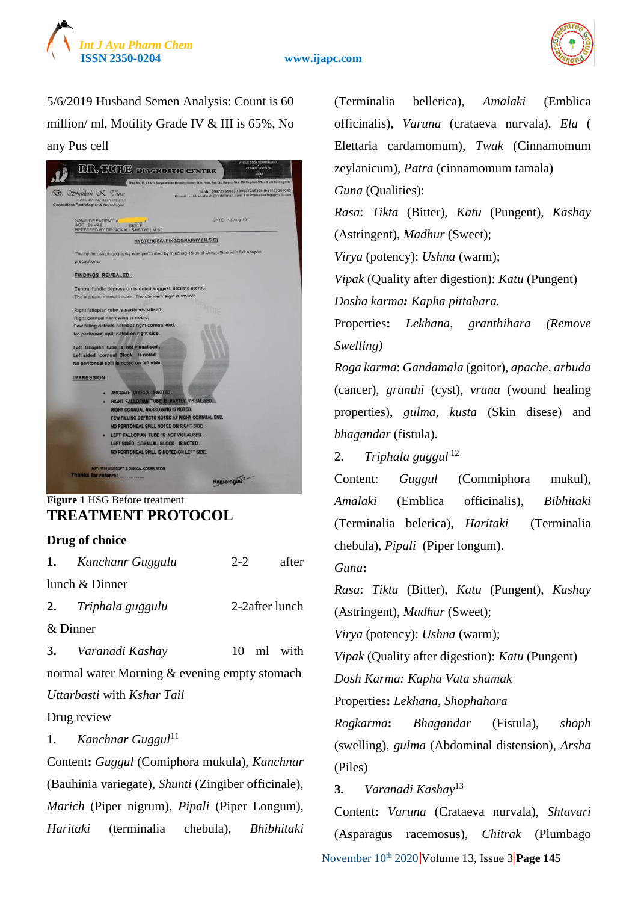



5/6/2019 Husband Semen Analysis: Count is 60 million/ ml, Motility Grade IV & III is 65%, No any Pus cell

| Tr Chailesh & Cure<br>MEES, DMRL, AFTH (MUM.)<br><b>Consultant Radiologist &amp; Sonologist</b> | Mob.: 09975765883 / 09637286306 (02143) 254042<br>E-mail: midrahailesh@rediffmail.com &midrshailesh@gmail.com |
|-------------------------------------------------------------------------------------------------|---------------------------------------------------------------------------------------------------------------|
| NAME OF PATIENT: A<br>AGE 29 YRS<br>SEX: F<br>REFFERED BY DR: SONALI SHETYE (M.S.)              | DATE 13-Aug-19                                                                                                |
|                                                                                                 | <b>HYSTEROSALPINGOGRAPHY (H.S.G)</b>                                                                          |
|                                                                                                 | The hysterosalpingography was performed by injecting 15 cc of Urograffine with full aseptic                   |
| precautions.                                                                                    |                                                                                                               |
| <b>FINDINGS REVEALED:</b>                                                                       |                                                                                                               |
| Central fundic depression is noted suggest arcuate uterus.                                      |                                                                                                               |
| The uterus is normal in size . The uterine margin is smooth.                                    |                                                                                                               |
| Right fallopian tube is partly visualised.                                                      |                                                                                                               |
| Right cornual narrowing is noted.                                                               |                                                                                                               |
| Few filling defects noted at right cornual end.                                                 |                                                                                                               |
| No peritoneal spill noted on right side.                                                        |                                                                                                               |
| Left fallopian tube is not visualised.                                                          |                                                                                                               |
| Left sided cornual Block is noted.                                                              |                                                                                                               |
| No peritoneal spill is noted on left side.                                                      |                                                                                                               |
| <b>IMPRESSION:</b>                                                                              |                                                                                                               |
|                                                                                                 |                                                                                                               |
| <b>ARCUATE UTERUS IS NOTED.</b>                                                                 |                                                                                                               |
| RIGHT FALLOPIAN TUBE IS PARTLY VISUALISED.                                                      |                                                                                                               |
| RIGHT CORNUAL NARROWING IS NOTED.                                                               |                                                                                                               |
| FEW FILLING DEFECTS NOTED AT RIGHT CORNUAL END.                                                 |                                                                                                               |
| NO PERITONEAL SPILL NOTED ON RIGHT SIDE                                                         |                                                                                                               |
| LEFT FALLOPIAN TUBE IS NOT VISUALISED.                                                          |                                                                                                               |
| LEFT SIDED CORNUAL BLOCK IS NOTED.                                                              |                                                                                                               |
| NO PERITONEAL SPILL IS NOTED ON LEFT SIDE.                                                      |                                                                                                               |
| ADV: HYSTEROSCOPY & CLINICAL CORRELATION                                                        |                                                                                                               |
| Thanks for referral                                                                             |                                                                                                               |
|                                                                                                 |                                                                                                               |

### **Figure 1** HSG Before treatment **TREATMENT PROTOCOL**

#### **Drug of choice**

|                                              | <b>1.</b> Kanchanr Guggulu                   | $2 - 2$ |  | after          |
|----------------------------------------------|----------------------------------------------|---------|--|----------------|
|                                              | lunch & Dinner                               |         |  |                |
|                                              | 2. Triphala guggulu                          |         |  | 2-2after lunch |
| & Dinner                                     |                                              |         |  |                |
|                                              | 3. Varanadi Kashay                           |         |  | 10 ml with     |
| normal water Morning & evening empty stomach |                                              |         |  |                |
|                                              | Uttarbasti with Kshar Tail                   |         |  |                |
|                                              | Drug review                                  |         |  |                |
|                                              | 1. Kanchnar Guggul <sup>11</sup>             |         |  |                |
|                                              | Content: Guggul (Comiphora mukula), Kanchnar |         |  |                |

(Bauhinia variegate), *Shunti* (Zingiber officinale), *Marich* (Piper nigrum), *Pipali* (Piper Longum), *Haritaki* (terminalia chebula), *Bhibhitaki* (Terminalia bellerica), *Amalaki* (Emblica officinalis), *Varuna* (crataeva nurvala), *Ela* ( Elettaria cardamomum), *Twak* (Cinnamomum zeylanicum), *Patra* (cinnamomum tamala) *Guna* (Qualities): *Rasa*: *Tikta* (Bitter), *Katu* (Pungent), *Kashay* (Astringent), *Madhur* (Sweet); *Virya* (potency): *Ushna* (warm); *Vipak* (Quality after digestion): *Katu* (Pungent) *Dosha karma: Kapha pittahara.* Properties**:** *Lekhana*, *granthihara (Remove Swelling) Roga karma*: *Gandamala* (goitor), *apache, arbuda* (cancer), *granthi* (cyst), *vrana* (wound healing properties), *gulma*, *kusta* (Skin disese) and *bhagandar* (fistula). 2. *Triphala guggul* <sup>12</sup> Content: *Guggul* (Commiphora mukul), *Amalaki* (Emblica officinalis), *Bibhitaki* (Terminalia belerica), *Haritaki* (Terminalia chebula), *Pipali* (Piper longum). *Guna***:**  *Rasa*: *Tikta* (Bitter), *Katu* (Pungent), *Kashay* (Astringent), *Madhur* (Sweet); *Virya* (potency): *Ushna* (warm); *Vipak* (Quality after digestion): *Katu* (Pungent) *Dosh Karma: Kapha Vata shamak* Properties**:** *Lekhana*, *Shophahara Rogkarma***:** *Bhagandar* (Fistula), *shoph*

(swelling), *gulma* (Abdominal distension), *Arsha* (Piles)

**3.** *Varanadi Kashay*<sup>13</sup>

November 10<sup>th</sup> 2020 Volume 13, Issue 3 Page 145 Content**:** *Varuna* (Crataeva nurvala), *Shtavari* (Asparagus racemosus), *Chitrak* (Plumbago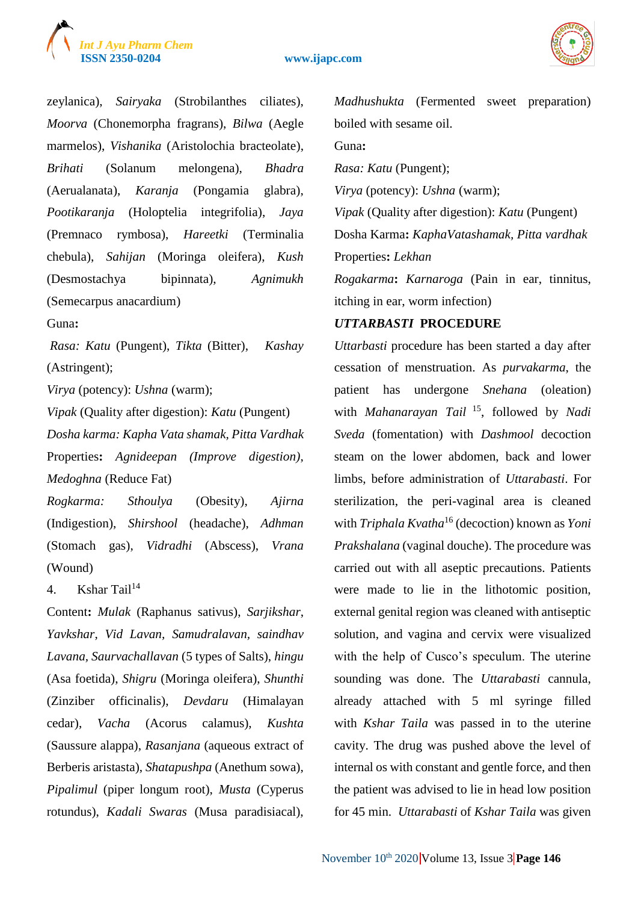



zeylanica), *Sairyaka* (Strobilanthes ciliates), *Moorva* (Chonemorpha fragrans), *Bilwa* (Aegle marmelos), *Vishanika* (Aristolochia bracteolate), *Brihati* (Solanum melongena), *Bhadra* (Aerualanata), *Karanja* (Pongamia glabra), *Pootikaranja* (Holoptelia integrifolia), *Jaya* (Premnaco rymbosa), *Hareetki* (Terminalia chebula), *Sahijan* (Moringa oleifera), *Kush*  (Desmostachya bipinnata), *Agnimukh*  (Semecarpus anacardium)

Guna**:**

*Rasa: Katu* (Pungent), *Tikta* (Bitter), *Kashay* (Astringent);

*Virya* (potency): *Ushna* (warm);

*Vipak* (Quality after digestion): *Katu* (Pungent) *Dosha karma: Kapha Vata shamak, Pitta Vardhak* Properties**:** *Agnideepan (Improve digestion)*, *Medoghna* (Reduce Fat)

*Rogkarma: Sthoulya* (Obesity), *Ajirna* (Indigestion), *Shirshool* (headache), *Adhman* (Stomach gas), *Vidradhi* (Abscess), *Vrana* (Wound)

4. Kshar Tail $14$ 

Content**:** *Mulak* (Raphanus sativus), *Sarjikshar*, *Yavkshar*, *Vid Lavan, Samudralavan, saindhav Lavana, Saurvachallavan* (5 types of Salts), *hingu*  (Asa foetida), *Shigru* (Moringa oleifera), *Shunthi*  (Zinziber officinalis), *Devdaru* (Himalayan cedar), *Vacha* (Acorus calamus), *Kushta* (Saussure alappa), *Rasanjana* (aqueous extract of Berberis aristasta), *Shatapushpa* (Anethum sowa), *Pipalimul* (piper longum root), *Musta* (Cyperus rotundus), *Kadali Swaras* (Musa paradisiacal),

*Madhushukta* (Fermented sweet preparation) boiled with sesame oil.

Guna**:** 

*Rasa: Katu* (Pungent);

*Virya* (potency): *Ushna* (warm);

*Vipak* (Quality after digestion): *Katu* (Pungent) Dosha Karma**:** *KaphaVatashamak, Pitta vardhak* Properties**:** *Lekhan*

*Rogakarma***:** *Karnaroga* (Pain in ear, tinnitus, itching in ear, worm infection)

#### *UTTARBASTI* **PROCEDURE**

*Uttarbasti* procedure has been started a day after cessation of menstruation. As *purvakarma*, the patient has undergone *Snehana* (oleation) with *Mahanarayan Tail* <sup>15</sup>, followed by *Nadi Sveda* (fomentation) with *Dashmool* decoction steam on the lower abdomen, back and lower limbs, before administration of *Uttarabasti*. For sterilization, the peri-vaginal area is cleaned with *Triphala Kvatha*<sup>16</sup> (decoction) known as *Yoni Prakshalana* (vaginal douche). The procedure was carried out with all aseptic precautions. Patients were made to lie in the lithotomic position, external genital region was cleaned with antiseptic solution, and vagina and cervix were visualized with the help of Cusco's speculum. The uterine sounding was done. The *Uttarabasti* cannula, already attached with 5 ml syringe filled with *Kshar Taila* was passed in to the uterine cavity. The drug was pushed above the level of internal os with constant and gentle force, and then the patient was advised to lie in head low position for 45 min. *Uttarabasti* of *Kshar Taila* was given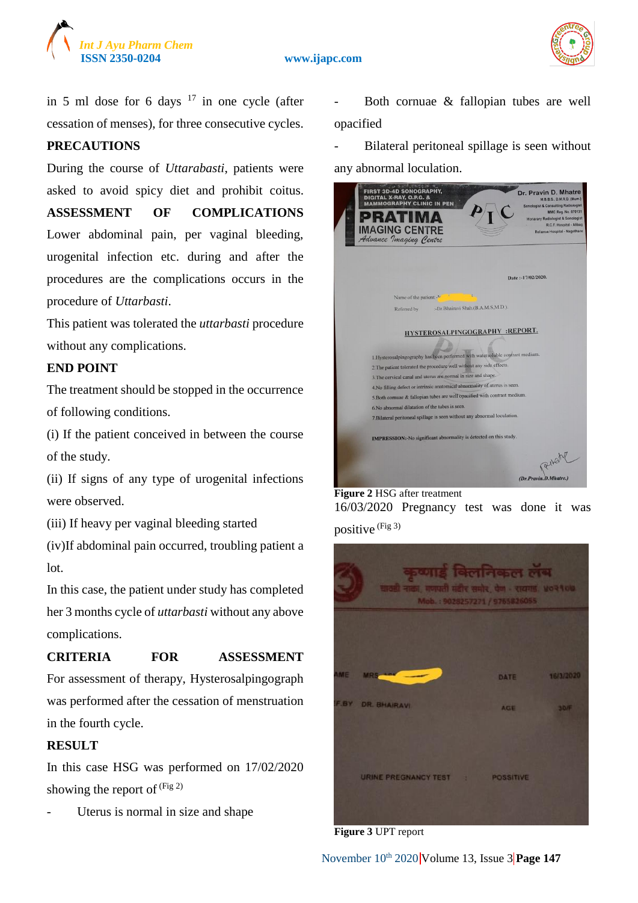



in 5 ml dose for 6 days  $17$  in one cycle (after cessation of menses), for three consecutive cycles.

#### **PRECAUTIONS**

During the course of *Uttarabasti*, patients were asked to avoid spicy diet and prohibit coitus.

**ASSESSMENT OF COMPLICATIONS** Lower abdominal pain, per vaginal bleeding, urogenital infection etc. during and after the procedures are the complications occurs in the procedure of *Uttarbasti*.

This patient was tolerated the *uttarbasti* procedure without any complications.

#### **END POINT**

The treatment should be stopped in the occurrence of following conditions.

(i) If the patient conceived in between the course of the study.

(ii) If signs of any type of urogenital infections were observed.

(iii) If heavy per vaginal bleeding started

(iv)If abdominal pain occurred, troubling patient a lot.

In this case, the patient under study has completed her 3 months cycle of *uttarbasti* without any above complications.

#### **CRITERIA FOR ASSESSMENT**

For assessment of therapy, Hysterosalpingograph was performed after the cessation of menstruation in the fourth cycle.

#### **RESULT**

In this case HSG was performed on 17/02/2020 showing the report of  $(Fig 2)$ 

Uterus is normal in size and shape

Both cornuae & fallopian tubes are well opacified

- Bilateral peritoneal spillage is seen without any abnormal loculation.

| <b>FIRST 3D-4D SONOGRAPHY,</b><br>Dr. Pravin D. Mhatre<br><b>DIGITAL X-RAY, O.P.G. &amp;</b><br>M.B.B.S., D.M.R.D. (Mum.)<br><b>MAMMOGRAPHY CLINIC IN PEN</b><br><b>Sonologist &amp; Consulting Radiologist</b><br>MMC Reg. No. 070131<br>PRAT<br><b>Honarary Radiologist &amp; Sonologist</b><br>R.C.F. Hospital - Alibag<br><b>IMAGING CENTRE</b><br>Advance <i>Imaging Centre</i><br>Reliance Hospital - Nagothane                                                                                                                                    |
|----------------------------------------------------------------------------------------------------------------------------------------------------------------------------------------------------------------------------------------------------------------------------------------------------------------------------------------------------------------------------------------------------------------------------------------------------------------------------------------------------------------------------------------------------------|
| Date: -17/02/2020.                                                                                                                                                                                                                                                                                                                                                                                                                                                                                                                                       |
| Name of the patient:-N                                                                                                                                                                                                                                                                                                                                                                                                                                                                                                                                   |
| :-Dr.Bhairavi Shah.(B.A.M.S,M.D.).<br>Referred by                                                                                                                                                                                                                                                                                                                                                                                                                                                                                                        |
| HYSTEROSALPINGOGRAPHY :REPORT.<br>1. Hysterosalpingography has been performed with watersoluble contrast medium.<br>2. The patient tolerated the procedure well without any side effects.<br>3. The cervical canal and uterus are normal in size and shape.<br>4. No filling defect or intrinsic anatomical abnormality of uterus is seen.<br>5. Both cornuae & fallopian tubes are well opacified with contrast medium.<br>6. No abnormal dilatation of the tubes is seen.<br>7. Bilateral peritoneal spillage is seen without any abnormal loculation. |
| <b>IMPRESSION:-No significant abnormality is detected on this study.</b><br>RILOM                                                                                                                                                                                                                                                                                                                                                                                                                                                                        |
| (Dr.Pravin.D.Mhatre.                                                                                                                                                                                                                                                                                                                                                                                                                                                                                                                                     |

## **Figure 2** HSG after treatment 16/03/2020 Pregnancy test was done it was positive (Fig 3)



**Figure 3** UPT report

November 10<sup>th</sup> 2020 Volume 13, Issue 3 Page 147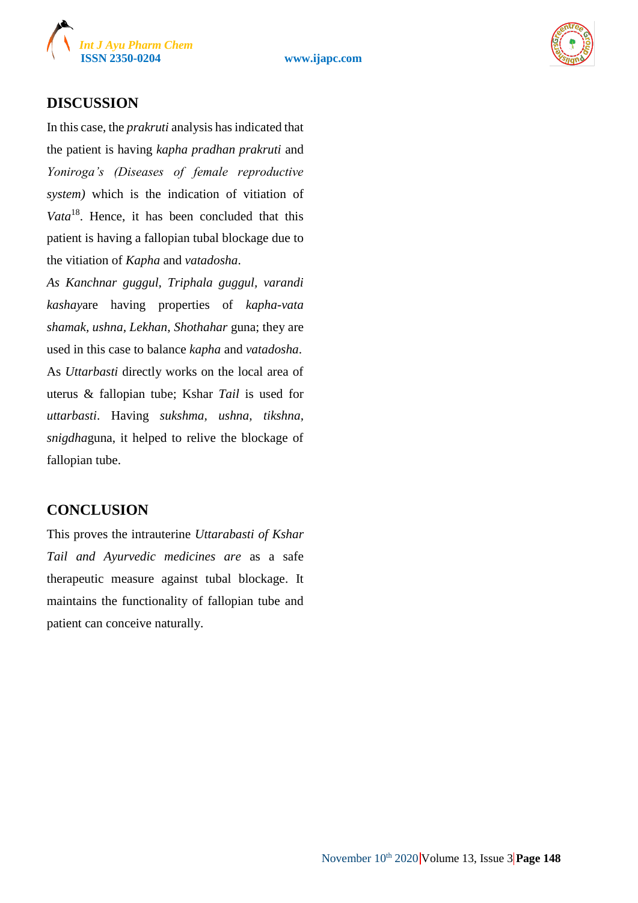



## **DISCUSSION**

In this case, the *prakruti* analysis has indicated that the patient is having *kapha pradhan prakruti* and *Yoniroga's (Diseases of female reproductive system)* which is the indication of vitiation of *Vata*<sup>18</sup>. Hence, it has been concluded that this patient is having a fallopian tubal blockage due to the vitiation of *Kapha* and *vatadosha*.

*As Kanchnar guggul, Triphala guggul, varandi kashay*are having properties of *kapha-vata shamak, ushna, Lekhan, Shothahar* guna; they are used in this case to balance *kapha* and *vatadosha*. As *Uttarbasti* directly works on the local area of uterus & fallopian tube; Kshar *Tail* is used for *uttarbasti*. Having *sukshma, ushna, tikshna, snigdha*guna, it helped to relive the blockage of fallopian tube.

## **CONCLUSION**

This proves the intrauterine *Uttarabasti of Kshar Tail and Ayurvedic medicines are* as a safe therapeutic measure against tubal blockage. It maintains the functionality of fallopian tube and patient can conceive naturally.